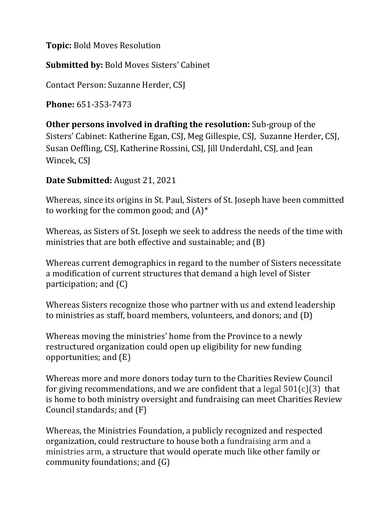**Topic:** Bold Moves Resolution

**Submitted by:** Bold Moves Sisters' Cabinet

Contact Person: Suzanne Herder, CSJ

**Phone:** 651-353-7473

**Other persons involved in drafting the resolution:** Sub-group of the Sisters' Cabinet: Katherine Egan, CSJ, Meg Gillespie, CSJ, Suzanne Herder, CSJ, Susan Oeffling, CSJ, Katherine Rossini, CSJ, Jill Underdahl, CSJ, and Jean Wincek, CSJ

## **Date Submitted:** August 21, 2021

Whereas, since its origins in St. Paul, Sisters of St. Joseph have been committed to working for the common good; and  $(A)^*$ 

Whereas, as Sisters of St. Joseph we seek to address the needs of the time with ministries that are both effective and sustainable; and (B)

Whereas current demographics in regard to the number of Sisters necessitate a modification of current structures that demand a high level of Sister participation; and (C)

Whereas Sisters recognize those who partner with us and extend leadership to ministries as staff, board members, volunteers, and donors; and (D)

Whereas moving the ministries' home from the Province to a newly restructured organization could open up eligibility for new funding opportunities; and (E)

Whereas more and more donors today turn to the Charities Review Council for giving recommendations, and we are confident that a legal  $501(c)(3)$  that is home to both ministry oversight and fundraising can meet Charities Review Council standards; and (F)

Whereas, the Ministries Foundation, a publicly recognized and respected organization, could restructure to house both a fundraising arm and a ministries arm, a structure that would operate much like other family or community foundations; and (G)